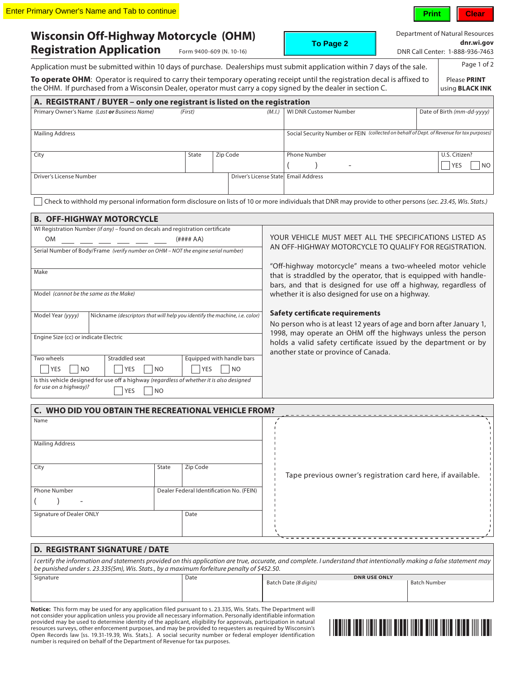Application must

**Wisconsin Off-Highway Motorcycle (OHM)**  Registration Application Form 9400-609 (N. 10-16)

**To Page 2**

Department of Natural Resources **[dnr.wi.gov](http://www.dnr.wi.gov)**

| n Application | Form 9400-609 (N. 10-16)                                                                                      |  | DNR Call Center: 1-888-936-7463 |
|---------------|---------------------------------------------------------------------------------------------------------------|--|---------------------------------|
|               | be submitted within 10 days of purchase. Dealerships must submit application within 7 days of the sale.       |  | Page 1 of 2                     |
|               | I: Operator is required to carry their temporary operating receipt until the registration decal is affixed to |  | Please PRINT                    |

**To operate OHM**: Operator is required to carry their temporary operating receipt until the registration decal is affixed to the OHM. If purchased from a Wisconsin Dealer, operator must carry a copy signed by the dealer in section C.

| A. REGISTRANT / BUYER - only one registrant is listed on the registration |         |          |                                      |                                                                                           |                              |
|---------------------------------------------------------------------------|---------|----------|--------------------------------------|-------------------------------------------------------------------------------------------|------------------------------|
| Primary Owner's Name (Last or Business Name)                              | (First) |          | (M.I.)                               | <b>WI DNR Customer Number</b>                                                             | Date of Birth (mm-dd-yyyy)   |
|                                                                           |         |          |                                      |                                                                                           |                              |
| <b>Mailing Address</b>                                                    |         |          |                                      | Social Security Number or FEIN (collected on behalf of Dept. of Revenue for tax purposes) |                              |
|                                                                           |         |          |                                      |                                                                                           |                              |
| City                                                                      | State   | Zip Code |                                      | <b>Phone Number</b>                                                                       | U.S. Citizen?                |
|                                                                           |         |          |                                      | -                                                                                         | N <sub>O</sub><br><b>YES</b> |
| Driver's License Number                                                   |         |          | Driver's License State Email Address |                                                                                           |                              |
|                                                                           |         |          |                                      |                                                                                           |                              |
|                                                                           |         |          |                                      |                                                                                           |                              |

Check to withhold my personal information form disclosure on lists of 10 or more individuals that DNR may provide to other persons (*sec. 23.45, Wis. Stats.)*

|                                                                                           | <b>B. OFF-HIGHWAY MOTORCYCLE</b>                                                  |                              |                                                                                                                                                                                                   |  |
|-------------------------------------------------------------------------------------------|-----------------------------------------------------------------------------------|------------------------------|---------------------------------------------------------------------------------------------------------------------------------------------------------------------------------------------------|--|
|                                                                                           | WI Registration Number (if any) – found on decals and registration certificate    |                              |                                                                                                                                                                                                   |  |
| <b>OM</b>                                                                                 |                                                                                   | (H### A)                     | YOUR VEHICLE MUST MEET ALL THE SPECIFICATIONS LISTED AS                                                                                                                                           |  |
|                                                                                           | Serial Number of Body/Frame (verify number on OHM - NOT the engine serial number) |                              | AN OFF-HIGHWAY MOTORCYCLE TO QUALIFY FOR REGISTRATION.                                                                                                                                            |  |
| Make                                                                                      |                                                                                   |                              | "Off-highway motorcycle" means a two-wheeled motor vehicle<br>that is straddled by the operator, that is equipped with handle-<br>bars, and that is designed for use off a highway, regardless of |  |
| Model (cannot be the same as the Make)                                                    |                                                                                   |                              | whether it is also designed for use on a highway.                                                                                                                                                 |  |
| Model Year (yyyy)                                                                         | Nickname (descriptors that will help you identify the machine, i.e. color)        |                              | Safety certificate requirements                                                                                                                                                                   |  |
|                                                                                           |                                                                                   |                              | No person who is at least 12 years of age and born after January 1,                                                                                                                               |  |
| Engine Size (cc) or indicate Electric                                                     |                                                                                   |                              | 1998, may operate an OHM off the highways unless the person<br>holds a valid safety certificate issued by the department or by<br>another state or province of Canada.                            |  |
| Two wheels                                                                                | Straddled seat                                                                    | Equipped with handle bars    |                                                                                                                                                                                                   |  |
| N <sub>O</sub><br>YES                                                                     | <b>YES</b><br><sub>NO</sub>                                                       | <b>YES</b><br>N <sub>O</sub> |                                                                                                                                                                                                   |  |
| Is this vehicle designed for use off a highway (regardless of whether it is also designed |                                                                                   |                              |                                                                                                                                                                                                   |  |
| for use on a highway)?<br><b>YES</b><br><b>NO</b>                                         |                                                                                   |                              |                                                                                                                                                                                                   |  |

| <b>C. WHO DID YOU OBTAIN THE RECREATIONAL VEHICLE FROM?</b> |       |                                          |                                                             |
|-------------------------------------------------------------|-------|------------------------------------------|-------------------------------------------------------------|
| Name                                                        |       |                                          |                                                             |
|                                                             |       |                                          |                                                             |
| <b>Mailing Address</b>                                      |       |                                          |                                                             |
|                                                             |       |                                          |                                                             |
| City                                                        | State | Zip Code                                 |                                                             |
|                                                             |       |                                          | Tape previous owner's registration card here, if available. |
| <b>Phone Number</b>                                         |       | Dealer Federal Identification No. (FEIN) |                                                             |
| -                                                           |       |                                          |                                                             |
| Signature of Dealer ONLY                                    |       | Date                                     |                                                             |
|                                                             |       |                                          |                                                             |
|                                                             |       |                                          |                                                             |

## **D. REGISTRANT SIGNATURE / DATE**

Signature Date Date Date Date *I certify the information and statements provided on this application are true, accurate, and complete. I understand that intentionally making a false statement may be punished under s. 23.335(5m), Wis. Stats., by a maximum forfeiture penalty of \$452.50.*

| Signature | Date | <b>DNR USE ONLY</b>   |                     |  |
|-----------|------|-----------------------|---------------------|--|
|           |      | Batch Date (8 digits) | <b>Batch Number</b> |  |
|           |      |                       |                     |  |
|           |      |                       |                     |  |
|           |      |                       |                     |  |

**Notice:** This form may be used for any application filed pursuant to s. 23.335, Wis. Stats. The Department will<br>not consider your application unless you provide all necessary information. Personally identifiable informati provided may be used to determine identity of the applicant, eligibility for approvals, participation in natural resources surveys, other enforcement purposes, and may be provided to requesters as required by Wisconsin's Open Records law [ss. 19.31-19.39, Wis. Stats.]. A social security number or federal employer identification number is required on behalf of the Department of Revenue for tax purposes.



**Print Clear**

using **BLACK INK**